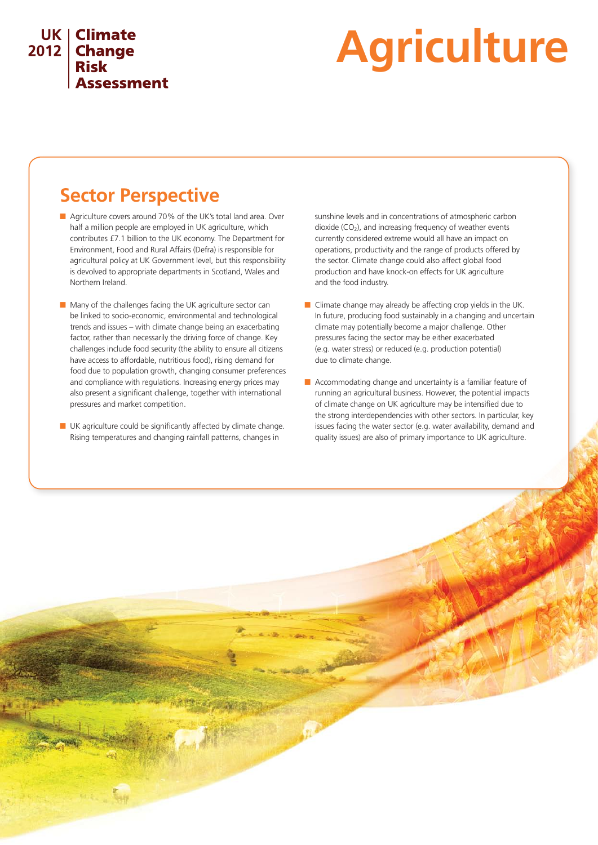# **UK | Climate** 2012 Change Assessment

# **Agriculture**

# **Sector Perspective**

- Agriculture covers around 70% of the UK's total land area. Over half a million people are employed in UK agriculture, which contributes £7.1 billion to the UK economy. The Department for Environment, Food and Rural Affairs (Defra) is responsible for agricultural policy at UK Government level, but this responsibility is devolved to appropriate departments in Scotland, Wales and Northern Ireland.
- $\blacksquare$  Many of the challenges facing the UK agriculture sector can be linked to socio-economic, environmental and technological trends and issues – with climate change being an exacerbating factor, rather than necessarily the driving force of change. Key challenges include food security (the ability to ensure all citizens have access to affordable, nutritious food), rising demand for food due to population growth, changing consumer preferences and compliance with regulations. Increasing energy prices may also present a significant challenge, together with international pressures and market competition.
- $\blacksquare$  UK agriculture could be significantly affected by climate change. Rising temperatures and changing rainfall patterns, changes in

sunshine levels and in concentrations of atmospheric carbon dioxide  $(CO<sub>2</sub>)$ , and increasing frequency of weather events currently considered extreme would all have an impact on operations, productivity and the range of products offered by the sector. Climate change could also affect global food production and have knock-on effects for UK agriculture and the food industry.

- $\blacksquare$  Climate change may already be affecting crop yields in the UK. In future, producing food sustainably in a changing and uncertain climate may potentially become a major challenge. Other pressures facing the sector may be either exacerbated (e.g. water stress) or reduced (e.g. production potential) due to climate change.
- $\blacksquare$  Accommodating change and uncertainty is a familiar feature of running an agricultural business. However, the potential impacts of climate change on UK agriculture may be intensified due to the strong interdependencies with other sectors. In particular, key issues facing the water sector (e.g. water availability, demand and quality issues) are also of primary importance to UK agriculture.

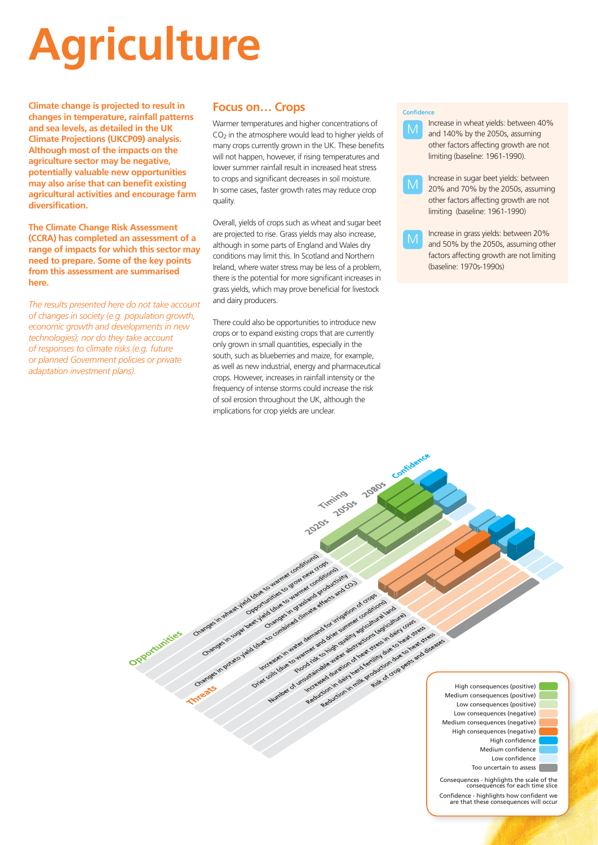# **Agriculture**

**Climate change is projected to result in changes in temperature, rainfall patterns and sea levels, as detailed in the UK Climate Projections (UKCP09) analysis. Although most of the impacts on the agriculture sector may be negative, potentially valuable new opportunities may also arise that can benefit existing agricultural activities and encourage farm diversification.** 

**The Climate Change Risk Assessment (CCRA) has completed an assessment of a range of impacts for which this sector may need to prepare. Some of the key points from this assessment are summarised here.** 

*The results presented here do not take account of changes in society (e.g. population growth, economic growth and developments in new technologies); nor do they take account of responses to climate risks (e.g. future or planned Government policies or private adaptation investment plans).* 

## **Focus on… Crops**

Warmer temperatures and higher concentrations of  $CO<sub>2</sub>$  in the atmosphere would lead to higher yields of many crops currently grown in the UK. These benefits will not happen, however, if rising temperatures and lower summer rainfall result in increased heat stress to crops and significant decreases in soil moisture. In some cases, faster growth rates may reduce crop quality.

Overall, yields of crops such as wheat and sugar beet are projected to rise. Grass yields may also increase, although in some parts of England and Wales dry conditions may limit this. In Scotland and Northern Ireland, where water stress may be less of a problem, there is the potential for more significant increases in grass yields, which may prove beneficial for livestock and dairy producers.

There could also be opportunities to introduce new crops or to expand existing crops that are currently only grown in small quantities, especially in the south, such as blueberries and maize, for example, as well as new industrial, energy and pharmaceutical crops. However, increases in rainfall intensity or the frequency of intense storms could increase the risk of soil erosion throughout the UK, although the implications for crop yields are unclear.

Internet in provide the vier of the content of the content of the content of the content of the content of the content of the content of the content of the content of the content of the content of the content of the conten

Chairs

#### **Confidence**

Increase in wheat yields: between 40% and 140% by the 2050s, assuming other factors affecting growth are not limiting (baseline: 1961-1990). M



Increase in sugar beet yields: between 20% and 70% by the 2050s, assuming other factors affecting growth are not limiting (baseline: 1961-1990)



Confridence

2080S

**Timing** ZO205 ZO305

 $\blacksquare$ 

Deed to de to the first development of constructions

Coordinate de diversite de diversites and

Arguedia constraint as definition of the straint of constraint of the straint of the straint of the straint of the straint of the straint of the straint of the straint of the straint of the straint of the straint of the st Police date date of property and advantage of development of development of the control of the state of the state of the state of the state of the state of the state of the state of the state of the state of the state of t

I American Secretary of Secretary and Secretary and Secretary and Secretary and Secretary and Secretary and Secretary and Secretary and Secretary and Secretary and Secretary and Secretary and Secretary and Secretary and Se Every discrete of the special contribution of contribution of the control of the control of the control of the control of the control of the control of the control of the control of the control of the control of the contro

Medicine development of the development of the second the control of the second the control of the second the control of the second the control of the control of the control of the control of the control of the control of New Redistribution in this distribution does to address to define the strategy of the strategy of the strategy of the strategy of the strategy of the strategy of the strategy of the strategy of the strategy of the strategy

Crownsel it and the development of the security of the state of the security of the state of the security of the security of the security of the security of the security of the security of the security of the security of t

Oranges in protection and the constraints of the state of the state of the state of the state of the state of the state of the state of the state of the state of the state of the state of the state of the state of the stat

Increase in grass yields: between 20% and 50% by the 2050s, assuming other factors affecting growth are not limiting (baseline: 1970s-1990s)



Consequences - highlights the scale of the consequences for each time slice Confidence - highlights how confident we are that these consequences will occur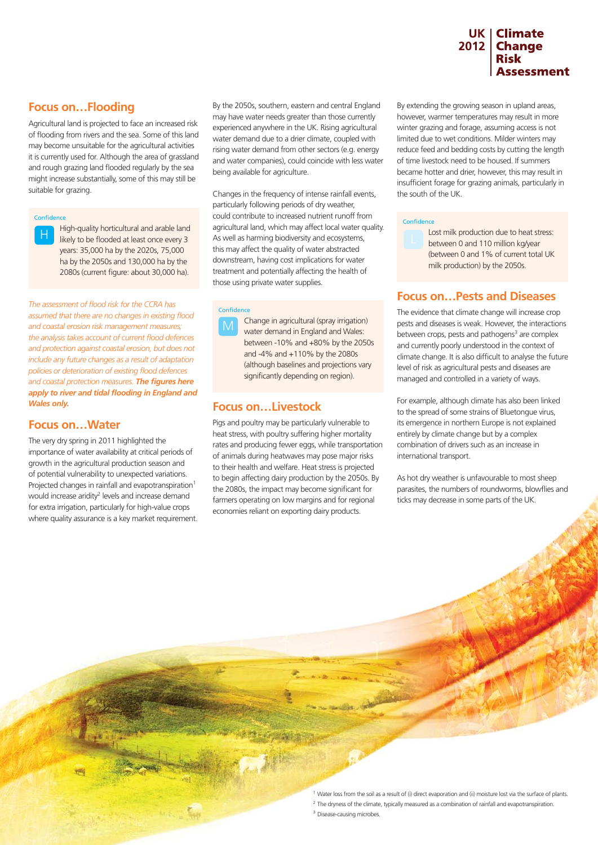## **Focus on…Flooding**

Agricultural land is projected to face an increased risk of flooding from rivers and the sea. Some of this land may become unsuitable for the agricultural activities it is currently used for. Although the area of grassland and rough grazing land flooded regularly by the sea might increase substantially, some of this may still be suitable for grazing.

## **Confidence** H

High-quality horticultural and arable land likely to be flooded at least once every 3 years: 35,000 ha by the 2020s, 75,000 ha by the 2050s and 130,000 ha by the 2080s (current figure: about 30,000 ha).

*The assessment of flood risk for the CCRA has assumed that there are no changes in existing flood and coastal erosion risk management measures; the analysis takes account of current flood defences and protection against coastal erosion, but does not include any future changes as a result of adaptation policies or deterioration of existing flood defences and coastal protection measures. The figures here apply to river and tidal flooding in England and Wales only.*

## **Focus on…Water**

The very dry spring in 2011 highlighted the importance of water availability at critical periods of growth in the agricultural production season and of potential vulnerability to unexpected variations. Projected changes in rainfall and evapotranspiration<sup>1</sup> would increase aridity<sup>2</sup> levels and increase demand for extra irrigation, particularly for high-value crops where quality assurance is a key market requirement. By the 2050s, southern, eastern and central England may have water needs greater than those currently experienced anywhere in the UK. Rising agricultural water demand due to a drier climate, coupled with rising water demand from other sectors (e.g. energy and water companies), could coincide with less water being available for agriculture.

Changes in the frequency of intense rainfall events, particularly following periods of dry weather, could contribute to increased nutrient runoff from agricultural land, which may affect local water quality. As well as harming biodiversity and ecosystems, this may affect the quality of water abstracted downstream, having cost implications for water treatment and potentially affecting the health of those using private water supplies.

#### **Confidence**

M

Change in agricultural (spray irrigation) water demand in England and Wales: between -10% and +80% by the 2050s and -4% and +110% by the 2080s (although baselines and projections vary significantly depending on region).

#### **Focus on…Livestock**

Pigs and poultry may be particularly vulnerable to heat stress, with poultry suffering higher mortality rates and producing fewer eggs, while transportation of animals during heatwaves may pose major risks to their health and welfare. Heat stress is projected to begin affecting dairy production by the 2050s. By the 2080s, the impact may become significant for farmers operating on low margins and for regional economies reliant on exporting dairy products.

#### UK l **Climate** 2012 **Change Assessment**

By extending the growing season in upland areas, however, warmer temperatures may result in more winter grazing and forage, assuming access is not limited due to wet conditions. Milder winters may reduce feed and bedding costs by cutting the length of time livestock need to be housed. If summers became hotter and drier, however, this may result in insufficient forage for grazing animals, particularly in the south of the UK.

#### Confidence

Lost milk production due to heat stress: between 0 and 110 million kg/year (between 0 and 1% of current total UK milk production) by the 2050s.

### **Focus on…Pests and Diseases**

The evidence that climate change will increase crop pests and diseases is weak. However, the interactions between crops, pests and pathogens<sup>3</sup> are complex and currently poorly understood in the context of climate change. It is also difficult to analyse the future level of risk as agricultural pests and diseases are managed and controlled in a variety of ways.

For example, although climate has also been linked to the spread of some strains of Bluetongue virus, its emergence in northern Europe is not explained entirely by climate change but by a complex combination of drivers such as an increase in international transport.

As hot dry weather is unfavourable to most sheep parasites, the numbers of roundworms, blowflies and ticks may decrease in some parts of the UK.

<sup>1</sup> Water loss from the soil as a result of (i) direct evaporation and (ii) moisture lost via the surface of plants. <sup>2</sup> The dryness of the climate, typically measured as a combination of rainfall and evapotranspiration.

<sup>3</sup> Disease-causing microbes.